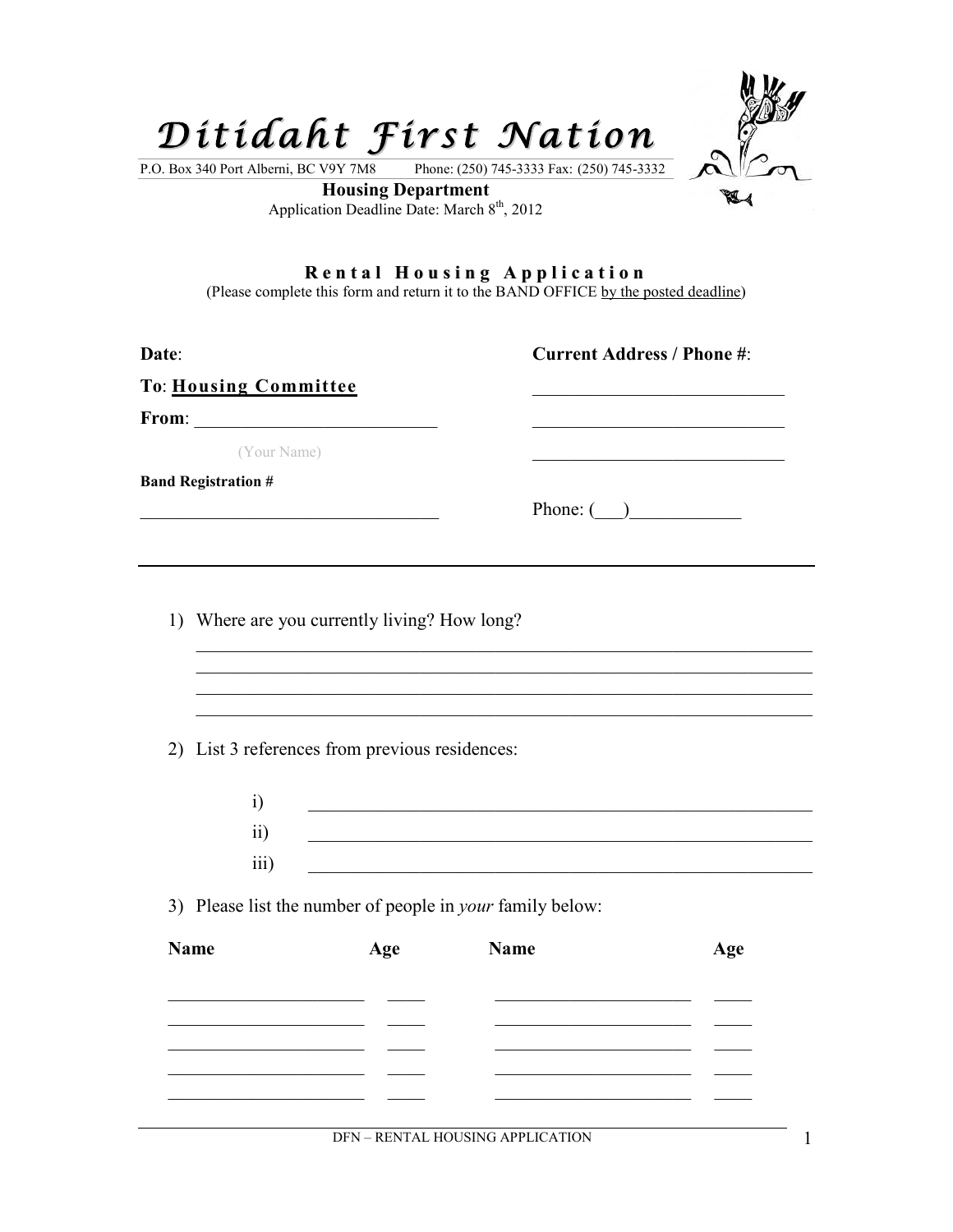

**Rental Housing Application**<br>(Please complete this form and return it to the BAND OFFICE by the posted deadline)

| Date:                                                       |                                                |                                                                                                                        | <b>Current Address / Phone #:</b> |
|-------------------------------------------------------------|------------------------------------------------|------------------------------------------------------------------------------------------------------------------------|-----------------------------------|
| To: Housing Committee                                       |                                                |                                                                                                                        |                                   |
|                                                             |                                                |                                                                                                                        |                                   |
| (Your Name)                                                 |                                                |                                                                                                                        |                                   |
| <b>Band Registration #</b>                                  |                                                |                                                                                                                        |                                   |
|                                                             |                                                |                                                                                                                        | Phone: $\qquad \qquad$            |
|                                                             |                                                |                                                                                                                        |                                   |
|                                                             |                                                |                                                                                                                        |                                   |
|                                                             | 1) Where are you currently living? How long?   |                                                                                                                        |                                   |
|                                                             |                                                |                                                                                                                        |                                   |
|                                                             |                                                |                                                                                                                        |                                   |
|                                                             |                                                |                                                                                                                        |                                   |
|                                                             | 2) List 3 references from previous residences: |                                                                                                                        |                                   |
| $\ddot{1}$                                                  |                                                | <u> 1989 - Johann Barn, amerikansk politiker (d. 1989)</u>                                                             |                                   |
| $\overline{ii}$                                             |                                                | <u> 1980 - Johann Barbara, martxa alemaniar argumento estas estas estas estas estas estas estas estas estas estas </u> |                                   |
| iii)                                                        |                                                |                                                                                                                        |                                   |
|                                                             |                                                |                                                                                                                        |                                   |
|                                                             |                                                | 3) Please list the number of people in <i>your</i> family below:                                                       |                                   |
| <b>Name</b>                                                 | Age                                            | <b>Name</b>                                                                                                            | Age                               |
|                                                             |                                                |                                                                                                                        |                                   |
|                                                             |                                                |                                                                                                                        |                                   |
| <u> 1989 - Jan Sterling Start, fransk politik (d. 1989)</u> |                                                |                                                                                                                        |                                   |
|                                                             |                                                |                                                                                                                        |                                   |